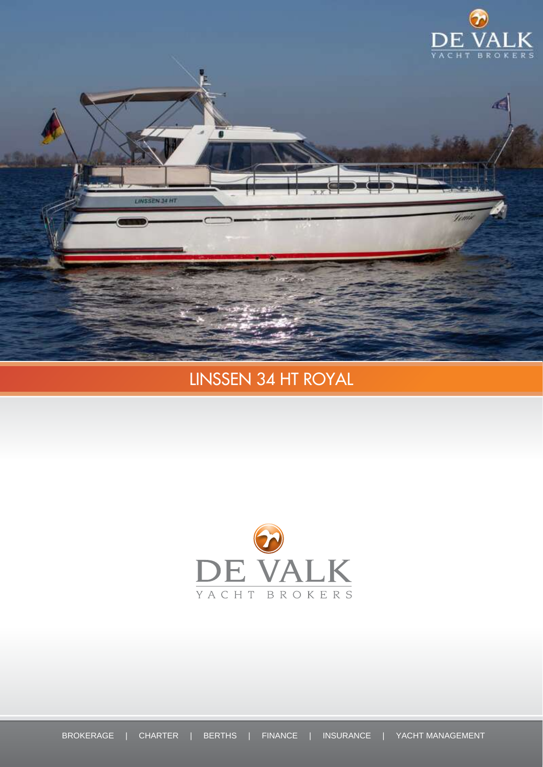

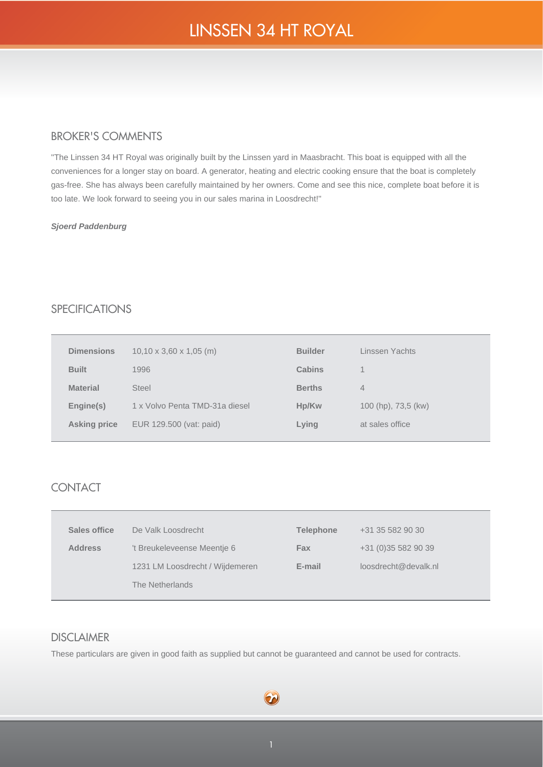#### **BROKER'S COMMENTS**

''The Linssen 34 HT Royal was originally built by the Linssen yard in Maasbracht. This boat is equipped with all the conveniences for a longer stay on board. A generator, heating and electric cooking ensure that the boat is completely gas-free. She has always been carefully maintained by her owners. Come and see this nice, complete boat before it is too late. We look forward to seeing you in our sales marina in Loosdrecht!''

#### **Sjoerd Paddenburg**

#### **SPECIFICATIONS**

| <b>Dimensions</b>   | $10,10 \times 3,60 \times 1,05$ (m) | <b>Builder</b> | Linssen Yachts      |
|---------------------|-------------------------------------|----------------|---------------------|
| <b>Built</b>        | 1996                                | Cabins         |                     |
| <b>Material</b>     | <b>Steel</b>                        | <b>Berths</b>  | $\overline{4}$      |
| Engine(s)           | 1 x Volvo Penta TMD-31a diesel      | Hp/Kw          | 100 (hp), 73,5 (kw) |
| <b>Asking price</b> | EUR 129.500 (vat: paid)             | Lying          | at sales office     |
|                     |                                     |                |                     |

#### **CONTACT**

#### **DISCLAIMER**

These particulars are given in good faith as supplied but cannot be guaranteed and cannot be used for contracts.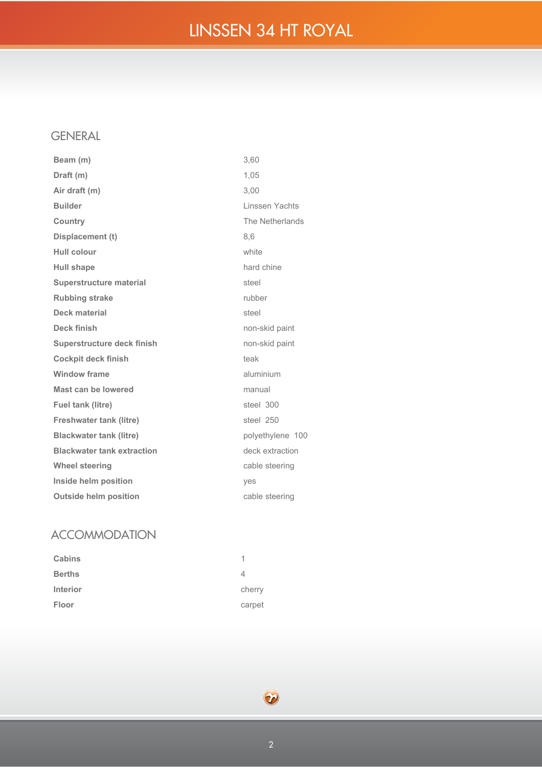### **GENERAL**

| Beam (m)                          | 3.60             |
|-----------------------------------|------------------|
| Draft (m)                         | 1,05             |
| Air draft (m)                     | 3,00             |
| <b>Builder</b>                    | Linssen Yachts   |
| Country                           | The Netherlands  |
| Displacement (t)                  | 8,6              |
| Hull colour                       | white            |
| <b>Hull shape</b>                 | hard chine       |
| <b>Superstructure material</b>    | steel            |
| <b>Rubbing strake</b>             | rubber           |
| Deck material                     | steel            |
| Deck finish                       | non-skid paint   |
| Superstructure deck finish        | non-skid paint   |
| <b>Cockpit deck finish</b>        | teak             |
| <b>Window frame</b>               | aluminium        |
| Mast can be lowered               | manual           |
| Fuel tank (litre)                 | steel 300        |
| <b>Freshwater tank (litre)</b>    | steel 250        |
| <b>Blackwater tank (litre)</b>    | polyethylene 100 |
| <b>Blackwater tank extraction</b> | deck extraction  |
| <b>Wheel steering</b>             | cable steering   |
| Inside helm position              | yes              |
| <b>Outside helm position</b>      | cable steering   |
|                                   |                  |

## **ACCOMMODATION**

| <b>Cabins</b> | 1      |
|---------------|--------|
| <b>Berths</b> |        |
| Interior      | cherry |
| Floor         | carpet |

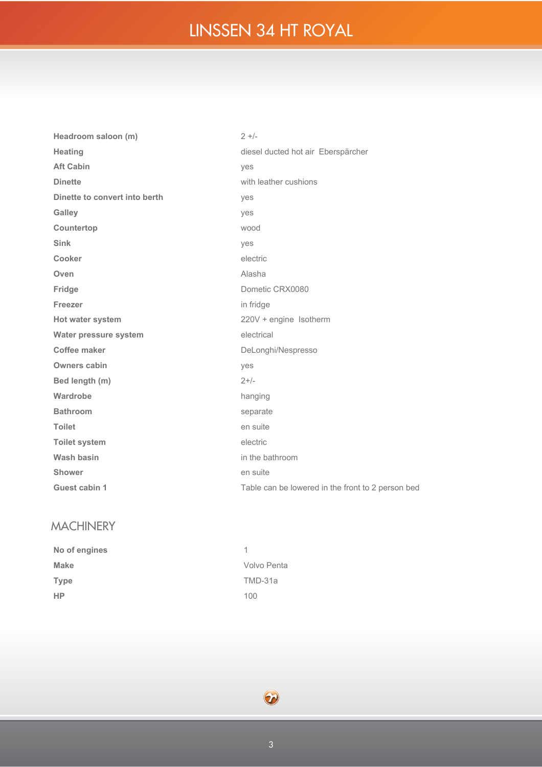| Headroom saloon (m)           | $2 +/-$                                           |
|-------------------------------|---------------------------------------------------|
| <b>Heating</b>                | diesel ducted hot air Eberspärcher                |
| <b>Aft Cabin</b>              | yes                                               |
| <b>Dinette</b>                | with leather cushions                             |
| Dinette to convert into berth | yes                                               |
| Galley                        | yes                                               |
| Countertop                    | wood                                              |
| <b>Sink</b>                   | yes                                               |
| Cooker                        | electric                                          |
| Oven                          | Alasha                                            |
| Fridge                        | Dometic CRX0080                                   |
| Freezer                       | in fridge                                         |
| Hot water system              | 220V + engine Isotherm                            |
| Water pressure system         | electrical                                        |
| Coffee maker                  | DeLonghi/Nespresso                                |
| <b>Owners cabin</b>           | yes                                               |
| Bed length (m)                | $2+/-$                                            |
| Wardrobe                      | hanging                                           |
| <b>Bathroom</b>               | separate                                          |
| <b>Toilet</b>                 | en suite                                          |
| <b>Toilet system</b>          | electric                                          |
| Wash basin                    | in the bathroom                                   |
| Shower                        | en suite                                          |
| Guest cabin 1                 | Table can be lowered in the front to 2 person bed |

## **MACHINERY**

| No of engines | 1           |
|---------------|-------------|
| <b>Make</b>   | Volvo Penta |
| <b>Type</b>   | TMD-31a     |
| <b>HP</b>     | 100         |

 $\odot$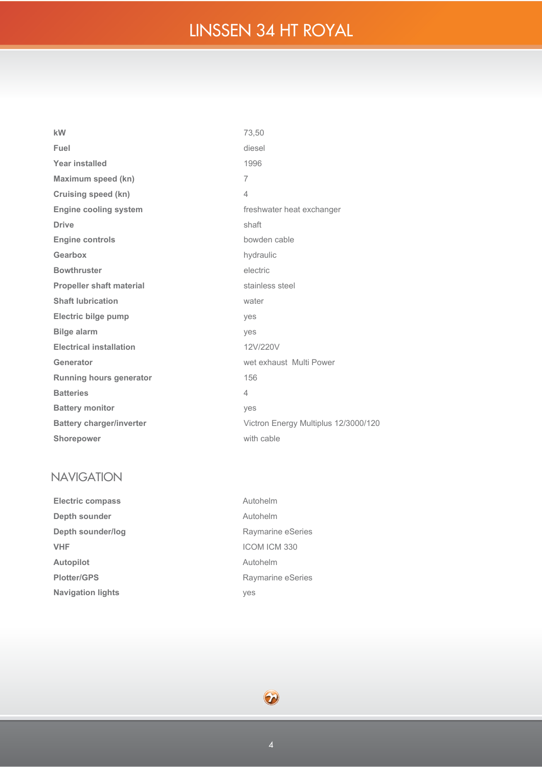| kW                              | 73,50                                |
|---------------------------------|--------------------------------------|
| Fuel                            | diesel                               |
| Year installed                  | 1996                                 |
| Maximum speed (kn)              | $\overline{7}$                       |
| Cruising speed (kn)             | 4                                    |
| <b>Engine cooling system</b>    | freshwater heat exchanger            |
| <b>Drive</b>                    | shaft                                |
| <b>Engine controls</b>          | bowden cable                         |
| Gearbox                         | hydraulic                            |
| <b>Bowthruster</b>              | electric                             |
| <b>Propeller shaft material</b> | stainless steel                      |
| <b>Shaft lubrication</b>        | water                                |
| <b>Electric bilge pump</b>      | yes                                  |
| <b>Bilge alarm</b>              | yes                                  |
| <b>Electrical installation</b>  | 12V/220V                             |
| Generator                       | wet exhaust Multi Power              |
| Running hours generator         | 156                                  |
| <b>Batteries</b>                | $\overline{4}$                       |
| <b>Battery monitor</b>          | yes                                  |
| <b>Battery charger/inverter</b> | Victron Energy Multiplus 12/3000/120 |
| Shorepower                      | with cable                           |
|                                 |                                      |

### **NAVIGATION**

| <b>Electric compass</b>  | Autohelm            |
|--------------------------|---------------------|
| Depth sounder            | Autohelm            |
| Depth sounder/log        | Raymarine eSeries   |
| <b>VHF</b>               | <b>ICOM ICM 330</b> |
| <b>Autopilot</b>         | Autohelm            |
| <b>Plotter/GPS</b>       | Raymarine eSeries   |
| <b>Navigation lights</b> | yes                 |
|                          |                     |

 $\odot$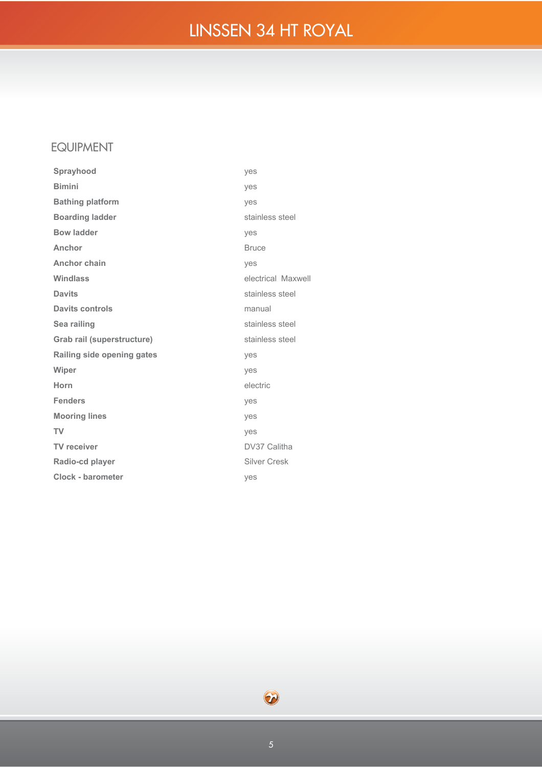## **EQUIPMENT**

| Sprayhood                  | yes                 |
|----------------------------|---------------------|
| <b>Bimini</b>              | ves                 |
| <b>Bathing platform</b>    | yes                 |
| <b>Boarding ladder</b>     | stainless steel     |
| <b>Bow ladder</b>          | yes                 |
| Anchor                     | <b>Bruce</b>        |
| Anchor chain               | yes                 |
| <b>Windlass</b>            | electrical Maxwell  |
| <b>Davits</b>              | stainless steel     |
| <b>Davits controls</b>     | manual              |
| Sea railing                | stainless steel     |
| Grab rail (superstructure) | stainless steel     |
| Railing side opening gates | yes                 |
| Wiper                      | ves                 |
| Horn                       | electric            |
| <b>Fenders</b>             | yes                 |
| <b>Mooring lines</b>       | yes                 |
| TV                         | yes                 |
| <b>TV receiver</b>         | DV37 Calitha        |
| Radio-cd player            | <b>Silver Cresk</b> |
| Clock - barometer          | yes                 |

 $\bigcirc$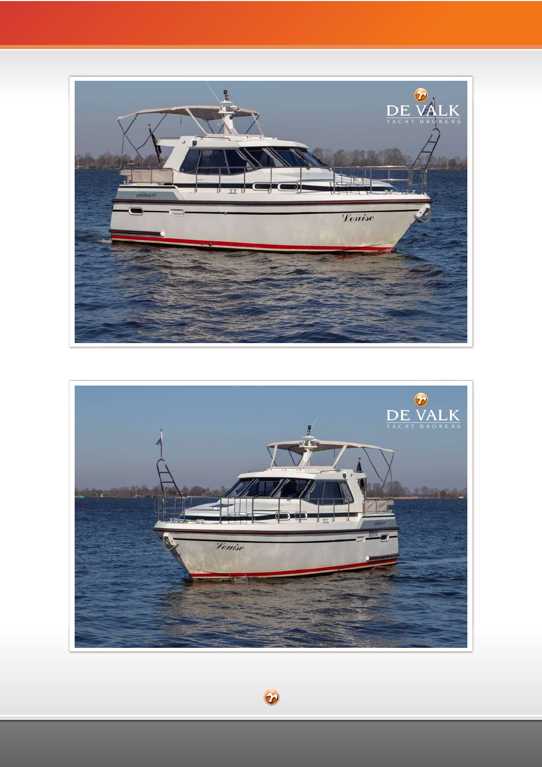# $1, 166(1 + 7 52 < \frac{6}{11})$



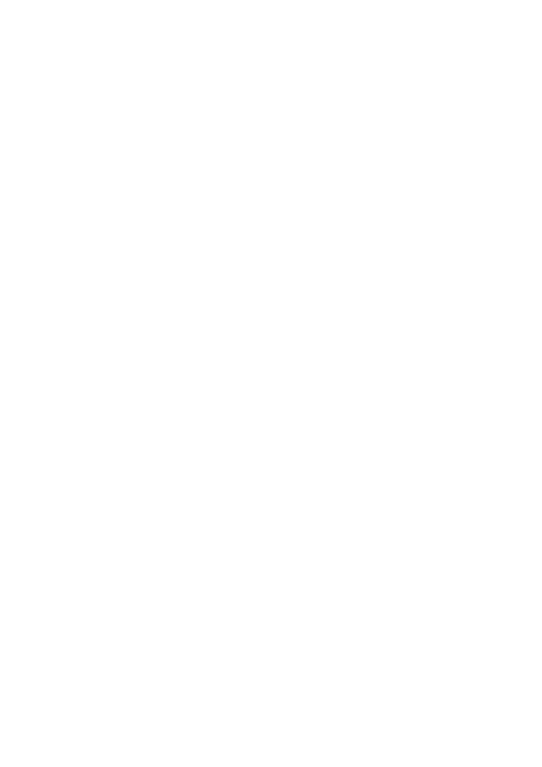| ---- |  |
|------|--|
|      |  |
|      |  |
|      |  |
|      |  |
|      |  |
|      |  |
|      |  |
|      |  |
|      |  |
|      |  |
|      |  |
|      |  |
|      |  |
|      |  |
|      |  |
|      |  |
|      |  |
|      |  |
|      |  |
|      |  |
|      |  |
|      |  |
|      |  |
|      |  |
|      |  |
|      |  |
|      |  |
|      |  |
|      |  |
|      |  |
|      |  |
|      |  |
|      |  |
|      |  |
|      |  |
|      |  |
|      |  |
|      |  |
|      |  |
|      |  |
|      |  |
|      |  |
|      |  |
|      |  |
|      |  |
|      |  |
|      |  |
|      |  |
|      |  |
|      |  |
|      |  |
|      |  |
|      |  |
|      |  |
|      |  |
|      |  |
|      |  |
|      |  |

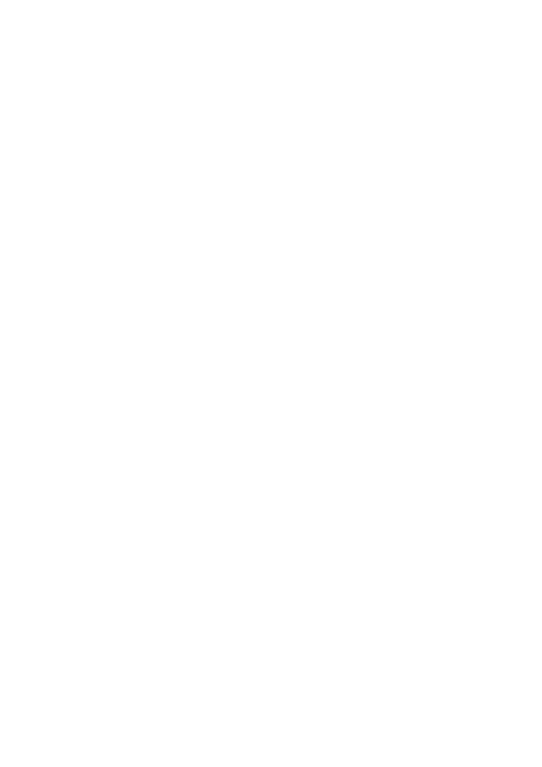| ---- |  |
|------|--|
|      |  |
|      |  |
|      |  |
|      |  |
|      |  |
|      |  |
|      |  |
|      |  |
|      |  |
|      |  |
|      |  |
|      |  |
|      |  |
|      |  |
|      |  |
|      |  |
|      |  |
|      |  |
|      |  |
|      |  |
|      |  |
|      |  |
|      |  |
|      |  |
|      |  |
|      |  |
|      |  |
|      |  |
|      |  |
|      |  |
|      |  |
|      |  |
|      |  |
|      |  |
|      |  |
|      |  |
|      |  |
|      |  |
|      |  |
|      |  |
|      |  |
|      |  |
|      |  |
|      |  |
|      |  |
|      |  |
|      |  |
|      |  |
|      |  |
|      |  |
|      |  |
|      |  |
|      |  |
|      |  |
|      |  |
|      |  |
|      |  |
|      |  |

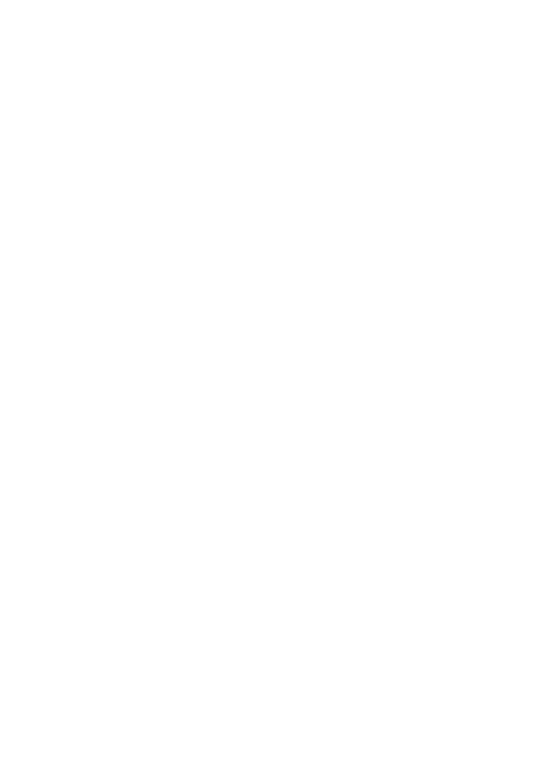| ---- |  |
|------|--|
|      |  |
|      |  |
|      |  |
|      |  |
|      |  |
|      |  |
|      |  |
|      |  |
|      |  |
|      |  |
|      |  |
|      |  |
|      |  |
|      |  |
|      |  |
|      |  |
|      |  |
|      |  |
|      |  |
|      |  |
|      |  |
|      |  |
|      |  |
|      |  |
|      |  |
|      |  |
|      |  |
|      |  |
|      |  |
|      |  |
|      |  |
|      |  |
|      |  |
|      |  |
|      |  |
|      |  |
|      |  |
|      |  |
|      |  |
|      |  |
|      |  |
|      |  |
|      |  |
|      |  |
|      |  |
|      |  |
|      |  |
|      |  |
|      |  |
|      |  |
|      |  |
|      |  |
|      |  |
|      |  |
|      |  |
|      |  |
|      |  |
|      |  |

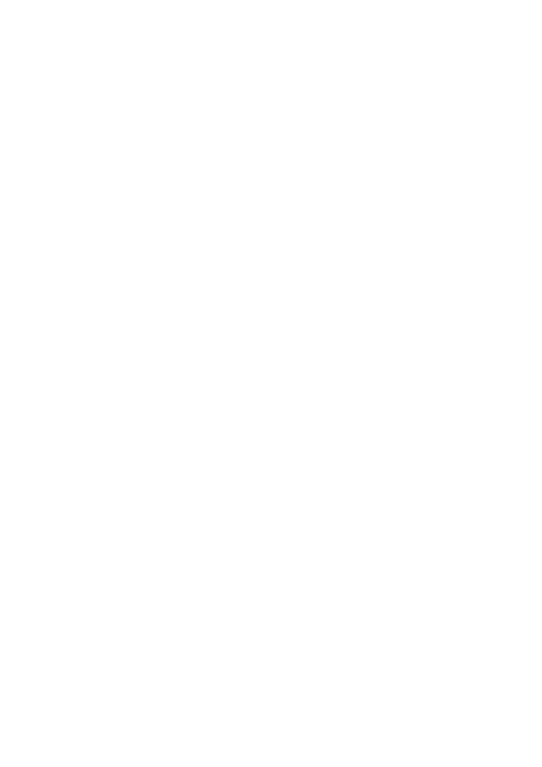| ---- |  |
|------|--|
|      |  |
|      |  |
|      |  |
|      |  |
|      |  |
|      |  |
|      |  |
|      |  |
|      |  |
|      |  |
|      |  |
|      |  |
|      |  |
|      |  |
|      |  |
|      |  |
|      |  |
|      |  |
|      |  |
|      |  |
|      |  |
|      |  |
|      |  |
|      |  |
|      |  |
|      |  |
|      |  |
|      |  |
|      |  |
|      |  |
|      |  |
|      |  |
|      |  |
|      |  |
|      |  |
|      |  |
|      |  |
|      |  |
|      |  |
|      |  |
|      |  |
|      |  |
|      |  |
|      |  |
|      |  |
|      |  |
|      |  |
|      |  |
|      |  |
|      |  |
|      |  |
|      |  |
|      |  |
|      |  |
|      |  |
|      |  |
|      |  |
|      |  |

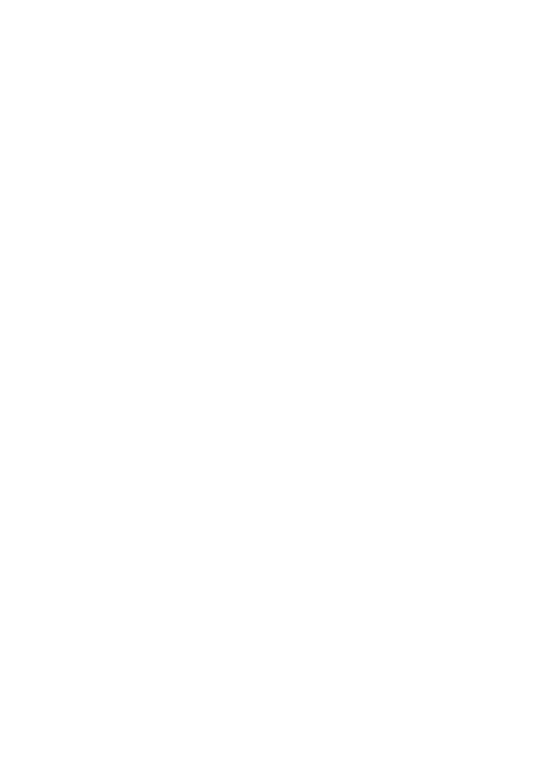| ---- |  |
|------|--|
|      |  |
|      |  |
|      |  |
|      |  |
|      |  |
|      |  |
|      |  |
|      |  |
|      |  |
|      |  |
|      |  |
|      |  |
|      |  |
|      |  |
|      |  |
|      |  |
|      |  |
|      |  |
|      |  |
|      |  |
|      |  |
|      |  |
|      |  |
|      |  |
|      |  |
|      |  |
|      |  |
|      |  |
|      |  |
|      |  |
|      |  |
|      |  |
|      |  |
|      |  |
|      |  |
|      |  |
|      |  |
|      |  |
|      |  |
|      |  |
|      |  |
|      |  |
|      |  |
|      |  |
|      |  |
|      |  |
|      |  |
|      |  |
|      |  |
|      |  |
|      |  |
|      |  |
|      |  |
|      |  |
|      |  |
|      |  |
|      |  |
|      |  |

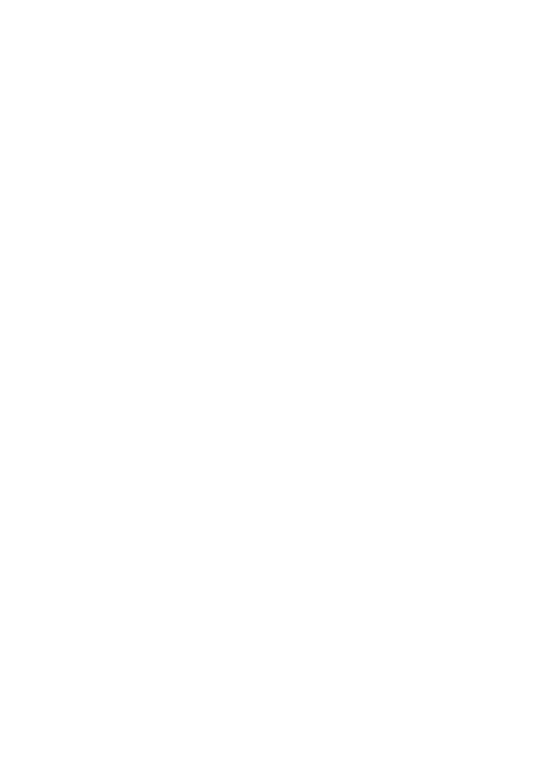| ---- |  |
|------|--|
|      |  |
|      |  |
|      |  |
|      |  |
|      |  |
|      |  |
|      |  |
|      |  |
|      |  |
|      |  |
|      |  |
|      |  |
|      |  |
|      |  |
|      |  |
|      |  |
|      |  |
|      |  |
|      |  |
|      |  |
|      |  |
|      |  |
|      |  |
|      |  |
|      |  |
|      |  |
|      |  |
|      |  |
|      |  |
|      |  |
|      |  |
|      |  |
|      |  |
|      |  |
|      |  |
|      |  |
|      |  |
|      |  |
|      |  |
|      |  |
|      |  |
|      |  |
|      |  |
|      |  |
|      |  |
|      |  |
|      |  |
|      |  |
|      |  |
|      |  |
|      |  |
|      |  |
|      |  |
|      |  |
|      |  |
|      |  |
|      |  |
|      |  |

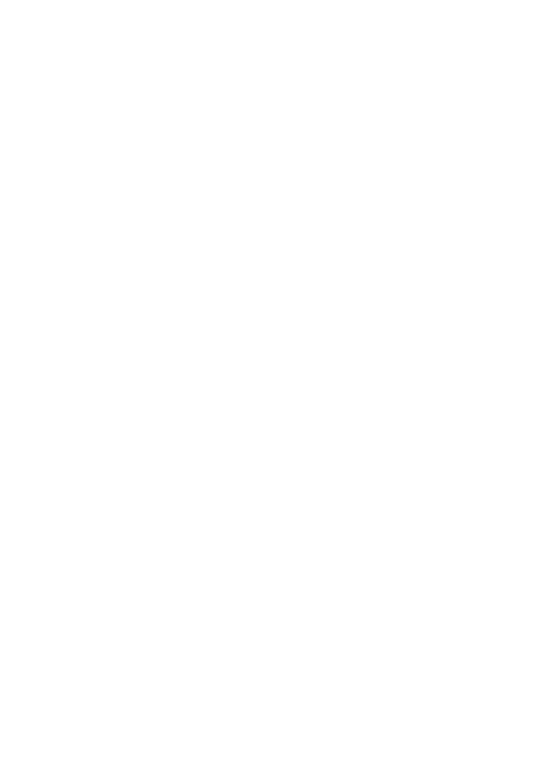| ---- |  |
|------|--|
|      |  |
|      |  |
|      |  |
|      |  |
|      |  |
|      |  |
|      |  |
|      |  |
|      |  |
|      |  |
|      |  |
|      |  |
|      |  |
|      |  |
|      |  |
|      |  |
|      |  |
|      |  |
|      |  |
|      |  |
|      |  |
|      |  |
|      |  |
|      |  |
|      |  |
|      |  |
|      |  |
|      |  |
|      |  |
|      |  |
|      |  |
|      |  |
|      |  |
|      |  |
|      |  |
|      |  |
|      |  |
|      |  |
|      |  |
|      |  |
|      |  |
|      |  |
|      |  |
|      |  |
|      |  |
|      |  |
|      |  |
|      |  |
|      |  |
|      |  |
|      |  |
|      |  |
|      |  |
|      |  |
|      |  |
|      |  |
|      |  |
|      |  |

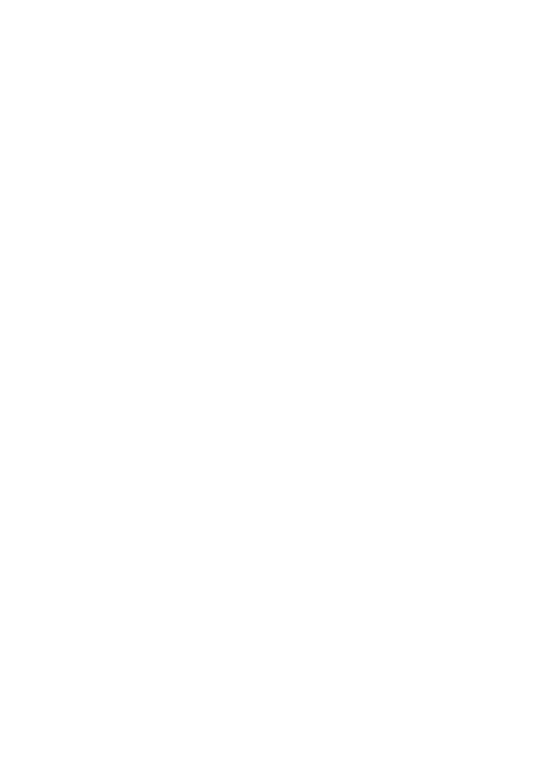| ---- |  |
|------|--|
|      |  |
|      |  |
|      |  |
|      |  |
|      |  |
|      |  |
|      |  |
|      |  |
|      |  |
|      |  |
|      |  |
|      |  |
|      |  |
|      |  |
|      |  |
|      |  |
|      |  |
|      |  |
|      |  |
|      |  |
|      |  |
|      |  |
|      |  |
|      |  |
|      |  |
|      |  |
|      |  |
|      |  |
|      |  |
|      |  |
|      |  |
|      |  |
|      |  |
|      |  |
|      |  |
|      |  |
|      |  |
|      |  |
|      |  |
|      |  |
|      |  |
|      |  |
|      |  |
|      |  |
|      |  |
|      |  |
|      |  |
|      |  |
|      |  |
|      |  |
|      |  |
|      |  |
|      |  |
|      |  |
|      |  |
|      |  |
|      |  |
|      |  |

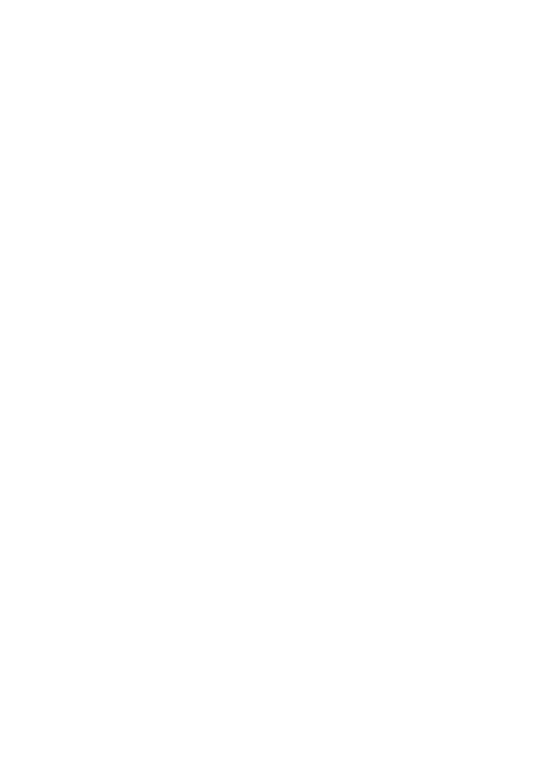| ---- |  |
|------|--|
|      |  |
|      |  |
|      |  |
|      |  |
|      |  |
|      |  |
|      |  |
|      |  |
|      |  |
|      |  |
|      |  |
|      |  |
|      |  |
|      |  |
|      |  |
|      |  |
|      |  |
|      |  |
|      |  |
|      |  |
|      |  |
|      |  |
|      |  |
|      |  |
|      |  |
|      |  |
|      |  |
|      |  |
|      |  |
|      |  |
|      |  |
|      |  |
|      |  |
|      |  |
|      |  |
|      |  |
|      |  |
|      |  |
|      |  |
|      |  |
|      |  |
|      |  |
|      |  |
|      |  |
|      |  |
|      |  |
|      |  |
|      |  |
|      |  |
|      |  |
|      |  |
|      |  |
|      |  |
|      |  |
|      |  |
|      |  |
|      |  |
|      |  |

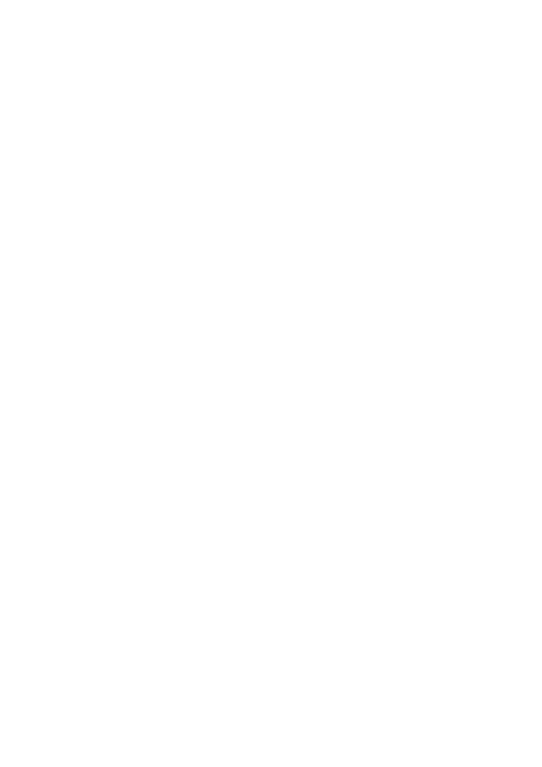| ---- |  |
|------|--|
|      |  |
|      |  |
|      |  |
|      |  |
|      |  |
|      |  |
|      |  |
|      |  |
|      |  |
|      |  |
|      |  |
|      |  |
|      |  |
|      |  |
|      |  |
|      |  |
|      |  |
|      |  |
|      |  |
|      |  |
|      |  |
|      |  |
|      |  |
|      |  |
|      |  |
|      |  |
|      |  |
|      |  |
|      |  |
|      |  |
|      |  |
|      |  |
|      |  |
|      |  |
|      |  |
|      |  |
|      |  |
|      |  |
|      |  |
|      |  |
|      |  |
|      |  |
|      |  |
|      |  |
|      |  |
|      |  |
|      |  |
|      |  |
|      |  |
|      |  |
|      |  |
|      |  |
|      |  |
|      |  |
|      |  |
|      |  |
|      |  |
|      |  |

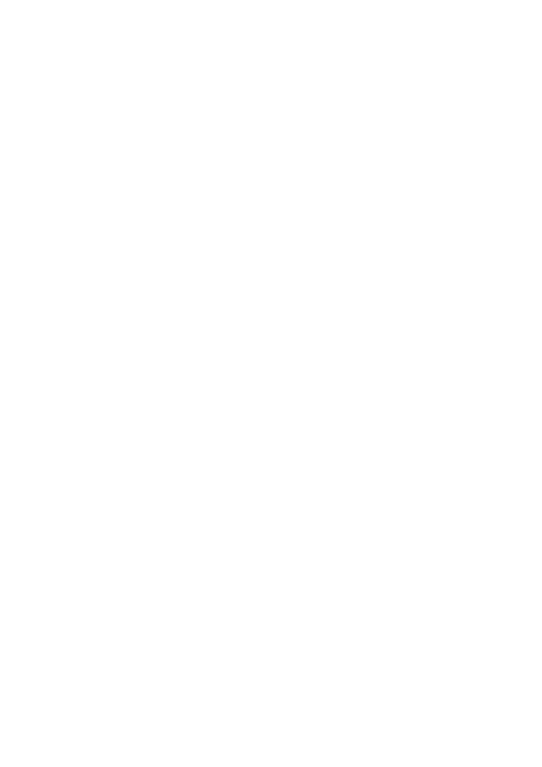| ---- |  |
|------|--|
|      |  |
|      |  |
|      |  |
|      |  |
|      |  |
|      |  |
|      |  |
|      |  |
|      |  |
|      |  |
|      |  |
|      |  |
|      |  |
|      |  |
|      |  |
|      |  |
|      |  |
|      |  |
|      |  |
|      |  |
|      |  |
|      |  |
|      |  |
|      |  |
|      |  |
|      |  |
|      |  |
|      |  |
|      |  |
|      |  |
|      |  |
|      |  |
|      |  |
|      |  |
|      |  |
|      |  |
|      |  |
|      |  |
|      |  |
|      |  |
|      |  |
|      |  |
|      |  |
|      |  |
|      |  |
|      |  |
|      |  |
|      |  |
|      |  |
|      |  |
|      |  |
|      |  |
|      |  |
|      |  |
|      |  |
|      |  |
|      |  |
|      |  |

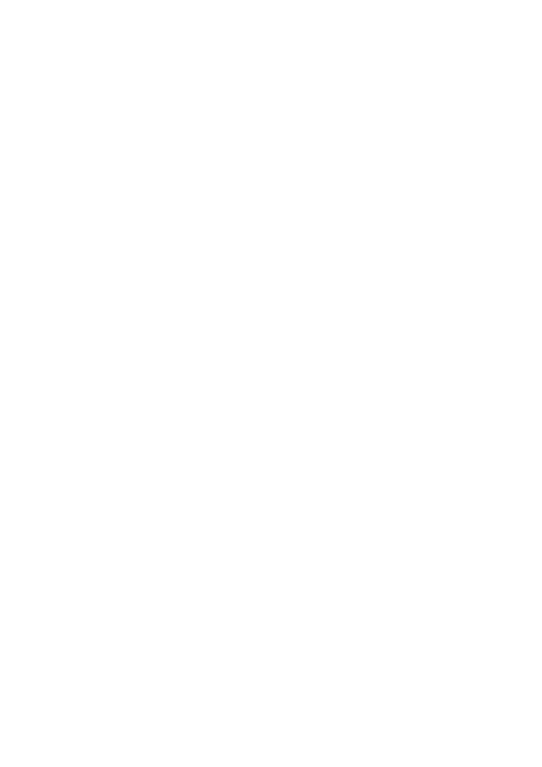| ---- |  |
|------|--|
|      |  |
|      |  |
|      |  |
|      |  |
|      |  |
|      |  |
|      |  |
|      |  |
|      |  |
|      |  |
|      |  |
|      |  |
|      |  |
|      |  |
|      |  |
|      |  |
|      |  |
|      |  |
|      |  |
|      |  |
|      |  |
|      |  |
|      |  |
|      |  |
|      |  |
|      |  |
|      |  |
|      |  |
|      |  |
|      |  |
|      |  |
|      |  |
|      |  |
|      |  |
|      |  |
|      |  |
|      |  |
|      |  |
|      |  |
|      |  |
|      |  |
|      |  |
|      |  |
|      |  |
|      |  |
|      |  |
|      |  |
|      |  |
|      |  |
|      |  |
|      |  |
|      |  |
|      |  |
|      |  |
|      |  |
|      |  |
|      |  |
|      |  |

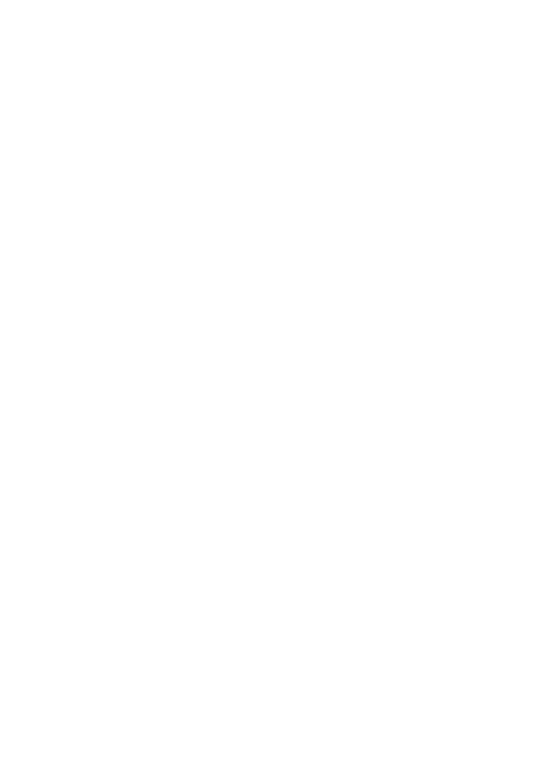| ---- |  |
|------|--|
|      |  |
|      |  |
|      |  |
|      |  |
|      |  |
|      |  |
|      |  |
|      |  |
|      |  |
|      |  |
|      |  |
|      |  |
|      |  |
|      |  |
|      |  |
|      |  |
|      |  |
|      |  |
|      |  |
|      |  |
|      |  |
|      |  |
|      |  |
|      |  |
|      |  |
|      |  |
|      |  |
|      |  |
|      |  |
|      |  |
|      |  |
|      |  |
|      |  |
|      |  |
|      |  |
|      |  |
|      |  |
|      |  |
|      |  |
|      |  |
|      |  |
|      |  |
|      |  |
|      |  |
|      |  |
|      |  |
|      |  |
|      |  |
|      |  |
|      |  |
|      |  |
|      |  |
|      |  |
|      |  |
|      |  |
|      |  |
|      |  |
|      |  |

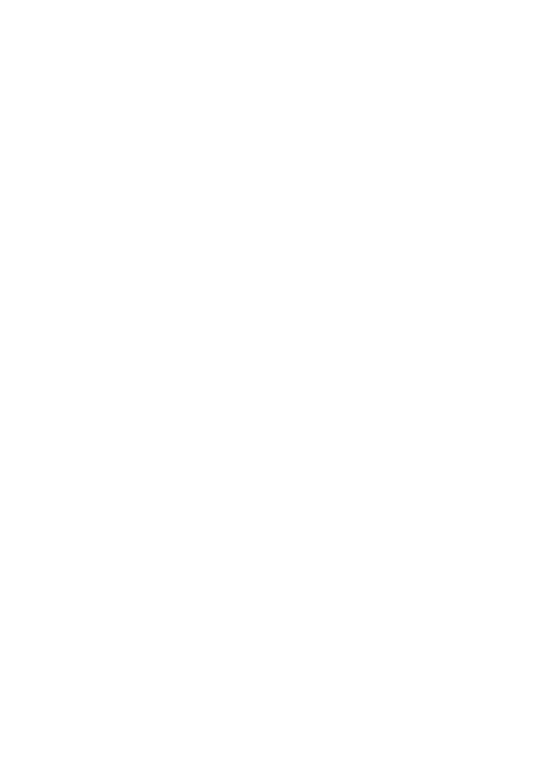| ---- |  |
|------|--|
|      |  |
|      |  |
|      |  |
|      |  |
|      |  |
|      |  |
|      |  |
|      |  |
|      |  |
|      |  |
|      |  |
|      |  |
|      |  |
|      |  |
|      |  |
|      |  |
|      |  |
|      |  |
|      |  |
|      |  |
|      |  |
|      |  |
|      |  |
|      |  |
|      |  |
|      |  |
|      |  |
|      |  |
|      |  |
|      |  |
|      |  |
|      |  |
|      |  |
|      |  |
|      |  |
|      |  |
|      |  |
|      |  |
|      |  |
|      |  |
|      |  |
|      |  |
|      |  |
|      |  |
|      |  |
|      |  |
|      |  |
|      |  |
|      |  |
|      |  |
|      |  |
|      |  |
|      |  |
|      |  |
|      |  |
|      |  |
|      |  |
|      |  |

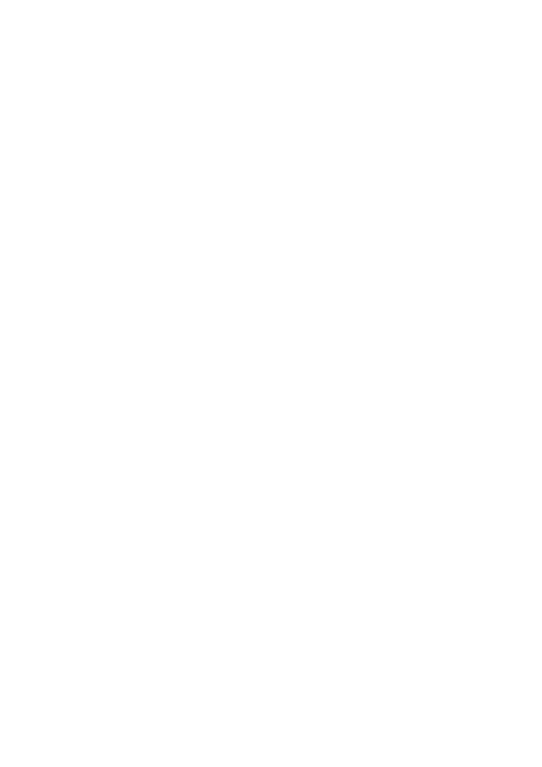| ---- |  |
|------|--|
|      |  |
|      |  |
|      |  |
|      |  |
|      |  |
|      |  |
|      |  |
|      |  |
|      |  |
|      |  |
|      |  |
|      |  |
|      |  |
|      |  |
|      |  |
|      |  |
|      |  |
|      |  |
|      |  |
|      |  |
|      |  |
|      |  |
|      |  |
|      |  |
|      |  |
|      |  |
|      |  |
|      |  |
|      |  |
|      |  |
|      |  |
|      |  |
|      |  |
|      |  |
|      |  |
|      |  |
|      |  |
|      |  |
|      |  |
|      |  |
|      |  |
|      |  |
|      |  |
|      |  |
|      |  |
|      |  |
|      |  |
|      |  |
|      |  |
|      |  |
|      |  |
|      |  |
|      |  |
|      |  |
|      |  |
|      |  |
|      |  |
|      |  |